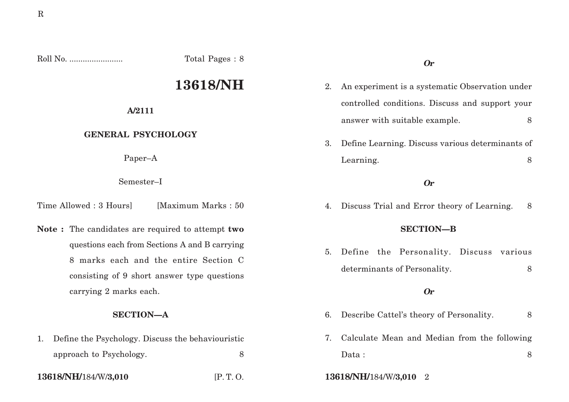Roll No. ........................ Total Pages : 8

# **13618/NH**

## **A/2111**

## **GENERAL PSYCHOLOGY**

Paper–A

Semester–I

Time Allowed : 3 Hours [Maximum Marks : 50]

**Note :** The candidates are required to attempt **two** questions each from Sections A and B carrying 8 marks each and the entire Section C consisting of 9 short answer type questions carrying 2 marks each.

## **SECTION—A**

| 1. Define the Psychology. Discuss the behaviouristic |  |
|------------------------------------------------------|--|
| approach to Psychology.                              |  |

# **Or**

- 2. An experiment is a systematic Observation under controlled conditions. Discuss and support your answer with suitable example. 8
- 3. Define Learning. Discuss various determinants of Learning. 8

### **Or**

4. Discuss Trial and Error theory of Learning. 8

#### **SECTION—B**

5. Define the Personality. Discuss various determinants of Personality. 8

#### **Or**

- 6. Describe Cattel's theory of Personality. 8
- 7. Calculate Mean and Median from the following Data : 8
- **13618/NH/**184/W/**3,010** [P. T. O. **13618/NH/**184/W/**3,010** 2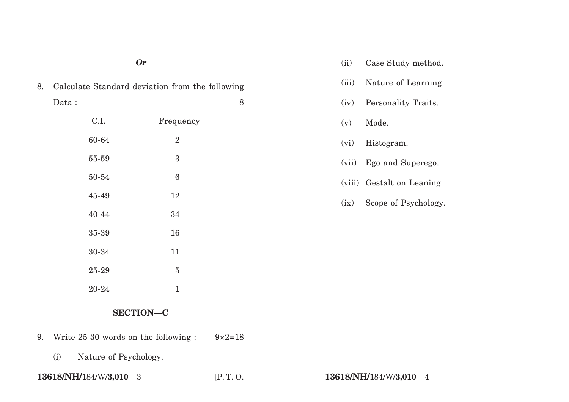| <b>Or</b>                                             |       |                  | (ii)  | Case Study method.         |
|-------------------------------------------------------|-------|------------------|-------|----------------------------|
| Calculate Standard deviation from the following<br>8. |       |                  | (iii) | Nature of Learning.        |
|                                                       | Data: | 8                | (iv)  | Personality Traits.        |
|                                                       | C.I.  | Frequency        | (v)   | Mode.                      |
|                                                       | 60-64 | $\sqrt{2}$       | (vi)  | Histogram.                 |
|                                                       | 55-59 | $\boldsymbol{3}$ | (vii) | Ego and Superego.          |
|                                                       | 50-54 | $\,6\,$          |       | (viii) Gestalt on Leaning. |
|                                                       | 45-49 | 12               | (ix)  | Scope of Psychology.       |
|                                                       | 40-44 | 34               |       |                            |
|                                                       | 35-39 | 16               |       |                            |
|                                                       | 30-34 | 11               |       |                            |
|                                                       | 25-29 | $\bf 5$          |       |                            |
|                                                       | 20-24 | 1                |       |                            |

# **SECTION—C**

- 9. Write 25-30 words on the following :  $9 \times 2=18$ 
	- (i) Nature of Psychology.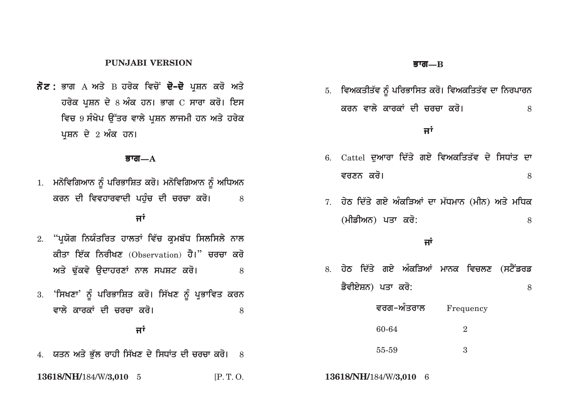#### **PUNJABI VERSION**

 $\vec{\delta}$ ਟ : ਭਾਗ A ਅਤੇ B ਹਰੇਕ ਵਿਚੋਂ **ਦੋ–ਦੋ** ਪਸ਼ਨ ਕਰੋ ਅਤੇ  $\vec{a}$ ਰਚੇਕ ਪੁਸ਼ਨ ਦੇ 8 ਅੰਕ ਹਨ। ਭਾਗ  $C$  ਸਾਰਾ ਕਰੋ। ਇਸ <u>ਵਿਚ 9 ਸੰਖੇਪ ਉੱਤਰ ਵਾਲੇ ਪਸ਼ਨ ਲਾਜਮੀ ਹਨ ਅਤੇ ਹਰੇਕ</u> ਪਸ਼ਨ ਦੇ 2 ਅੰਕ ਹਨ।

#### **Bwg—A**

1. ਮਨੋਵਿਗਿਆਨ ਨੂੰ ਪਰਿਭਾਸ਼ਿਤ ਕਰੋ। ਮਨੋਵਿਗਿਆਨ ਨੂੰ ਅਧਿਅਨ <mark>ਕਰਨ ਦੀ ਵਿਵਹਾਰਵਾਦੀ ਪਹੰਚ ਦੀ ਚਰਚਾ ਕਰੋ।</mark> 8

# $\overline{H}$

- 2. **"ਪ੍ਯੋਗ ਨਿਯੰਤਰਿਤ ਹਾਲਤਾਂ ਵਿੱਚ ਕਮਬੱਧ ਸਿਲਸਿਲੇ** ਨਾਲ <mark>ਕੀਤਾ ਇੱਕ ਨਿਰੀਖਣ</mark> (Observation) ਹੈ।" ਚਰਚਾ ਕਰੋ  $\,$ ਅਤੇ ਢੱਕਵੇ ੳਦਾਹਰਣਾਂ ਨਾਲ ਸਪਸ਼ਟ ਕਰੋ।  $\,$ 8
- 3. **'ਸਿਖਣਾ' ਨੂੰ ਪਰਿਭਾਸ਼ਿਤ ਕਰੋ। ਸਿੱਖਣ ਨੂੰ ਪ੍ਰਭਾਵਿਤ ਕਰਨ** ਵਾਲੇ ਕਾਰਕਾਂ ਦੀ ਚਰਚਾ ਕਰੋ। **Karo**a 8 8

# <u>ਜਾਂ</u>

4. ਯਤਨ ਅਤੇ ਭੱਲ ਰਾਹੀ ਸਿੱਖਣ ਦੇ ਸਿਧਾਂਤ ਦੀ ਚਰਚਾ ਕਰੋ। 8

#### **Bwg—B**

5. ਵਿਅਕਤੀਤੱਵ ਨੂੰ ਪਰਿਭਾਸਿਤ ਕਰੋ। ਵਿਅਕਤਿਤੱਵ ਦਾ ਨਿਰਪਾਰਨ <mark>ਕਰਨ ਵਾਲੇ ਕਾਰਕਾਂ ਦੀ ਚਰਚਾ ਕਰੋ।</mark> ਬਿਨਾਂ ਬਾਲ ਸ

# $\overline{H}^{\dagger}$

- 6. Cattel ਦੁਆਰਾ ਦਿੱਤੇ ਗਏ ਵਿਅਕਤਿਤੱਵ ਦੇ ਸਿਧਾਂਤ ਦਾ **vrxn kro[** <sup>8</sup>
- 7. ਹੇਠ ਦਿੱਤੇ ਗਏ ਅੰਕੜਿਆਂ ਦਾ ਮੱਧਮਾਨ (ਮੀਨ) ਅਤੇ ਮਧਿਕ **(mIfIAn) pqw kro:** <sup>8</sup>

# <u>ਜਾਂ</u>

- 8. ਹੇਠ ਦਿੱਤੇ ਗਏ ਅੰਕੜਿਆਂ ਮਾਨਕ ਵਿਚਲਣ (ਸਟੈ<del>ਂ</del>ਡਰਡ <mark>ਡੈਵੀਏਸ਼ਨ) ਪਤਾ ਕਰੋ:</mark> 8
	- **ਵਰਗ−ਅੰਤਰਾਲ** Frequency 60-64 2 55-59 3